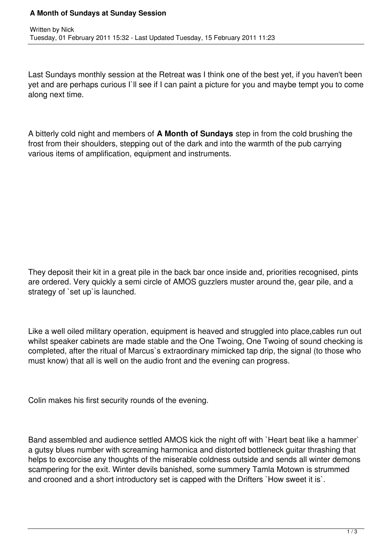## **A Month of Sundays at Sunday Session**

Last Sundays monthly session at the Retreat was I think one of the best yet, if you haven't been yet and are perhaps curious I`ll see if I can paint a picture for you and maybe tempt you to come along next time.

A bitterly cold night and members of **A Month of Sundays** step in from the cold brushing the frost from their shoulders, stepping out of the dark and into the warmth of the pub carrying various items of amplification, equipment and instruments.

They deposit their kit in a great pile in the back bar once inside and, priorities recognised, pints are ordered. Very quickly a semi circle of AMOS guzzlers muster around the, gear pile, and a strategy of `set up`is launched.

Like a well oiled military operation, equipment is heaved and struggled into place,cables run out whilst speaker cabinets are made stable and the One Twoing, One Twoing of sound checking is completed, after the ritual of Marcus`s extraordinary mimicked tap drip, the signal (to those who must know) that all is well on the audio front and the evening can progress.

Colin makes his first security rounds of the evening.

Band assembled and audience settled AMOS kick the night off with `Heart beat like a hammer` a gutsy blues number with screaming harmonica and distorted bottleneck guitar thrashing that helps to excorcise any thoughts of the miserable coldness outside and sends all winter demons scampering for the exit. Winter devils banished, some summery Tamla Motown is strummed and crooned and a short introductory set is capped with the Drifters `How sweet it is`.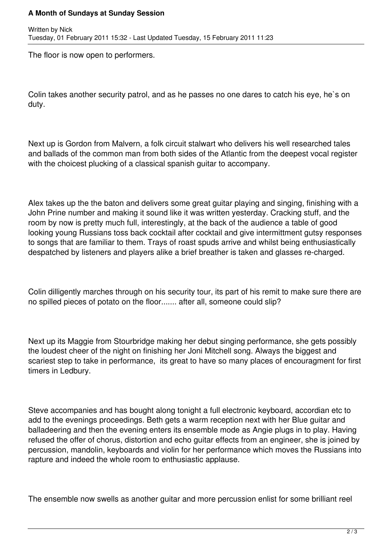## **A Month of Sundays at Sunday Session**

The floor is now open to performers.

Colin takes another security patrol, and as he passes no one dares to catch his eye, he`s on duty.

Next up is Gordon from Malvern, a folk circuit stalwart who delivers his well researched tales and ballads of the common man from both sides of the Atlantic from the deepest vocal register with the choicest plucking of a classical spanish quitar to accompany.

Alex takes up the the baton and delivers some great guitar playing and singing, finishing with a John Prine number and making it sound like it was written yesterday. Cracking stuff, and the room by now is pretty much full, interestingly, at the back of the audience a table of good looking young Russians toss back cocktail after cocktail and give intermittment gutsy responses to songs that are familiar to them. Trays of roast spuds arrive and whilst being enthusiastically despatched by listeners and players alike a brief breather is taken and glasses re-charged.

Colin dilligently marches through on his security tour, its part of his remit to make sure there are no spilled pieces of potato on the floor....... after all, someone could slip?

Next up its Maggie from Stourbridge making her debut singing performance, she gets possibly the loudest cheer of the night on finishing her Joni Mitchell song. Always the biggest and scariest step to take in performance, its great to have so many places of encouragment for first timers in Ledbury.

Steve accompanies and has bought along tonight a full electronic keyboard, accordian etc to add to the evenings proceedings. Beth gets a warm reception next with her Blue guitar and balladeering and then the evening enters its ensemble mode as Angie plugs in to play. Having refused the offer of chorus, distortion and echo guitar effects from an engineer, she is joined by percussion, mandolin, keyboards and violin for her performance which moves the Russians into rapture and indeed the whole room to enthusiastic applause.

The ensemble now swells as another guitar and more percussion enlist for some brilliant reel